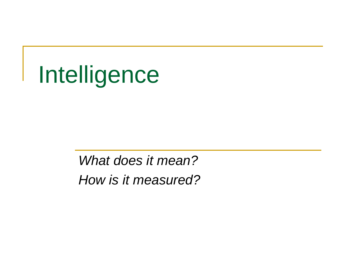Intelligence

*What does it mean? How is it measured?*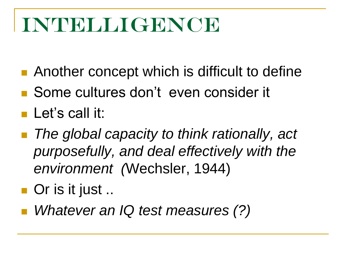# INTELLIGENCE

- Another concept which is difficult to define
- Some cultures don't even consider it
- Let's call it:
- *The global capacity to think rationally, act purposefully, and deal effectively with the environment (*Wechsler, 1944)
- Or is it just ..
- *Whatever an IQ test measures (?)*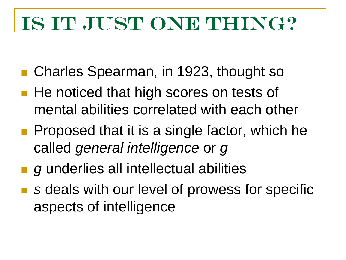# IS IT JUST ONE THING?

- **Charles Spearman, in 1923, thought so**
- He noticed that high scores on tests of mental abilities correlated with each other
- **Proposed that it is a single factor, which he** called *general intelligence* or *g*
- *g* underlies all intellectual abilities
- *s* deals with our level of prowess for specific aspects of intelligence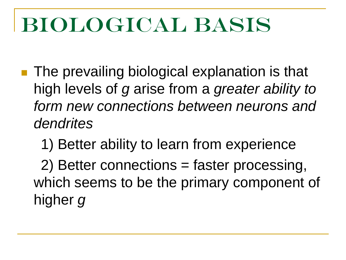# Biological basis

■ The prevailing biological explanation is that high levels of *g* arise from a *greater ability to form new connections between neurons and dendrites* 

1) Better ability to learn from experience

 2) Better connections = faster processing, which seems to be the primary component of higher *g*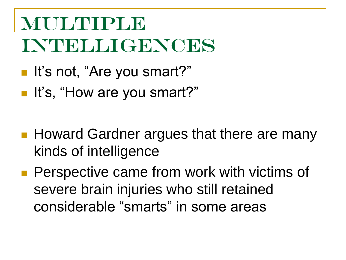# Multiple intelligences

- It's not, "Are you smart?"
- It's, "How are you smart?"
- **Howard Gardner argues that there are many** kinds of intelligence
- **Perspective came from work with victims of** severe brain injuries who still retained considerable "smarts" in some areas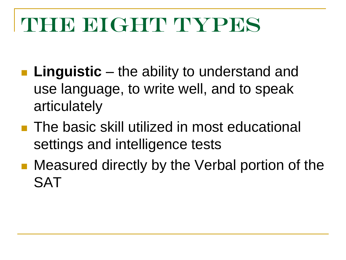# THE EIGHT TYPES

- **Linguistic** the ability to understand and use language, to write well, and to speak articulately
- **The basic skill utilized in most educational** settings and intelligence tests
- **Measured directly by the Verbal portion of the SAT**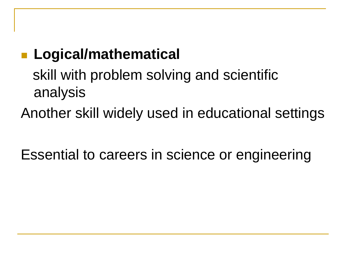### **Logical/mathematical**

skill with problem solving and scientific analysis

Another skill widely used in educational settings

Essential to careers in science or engineering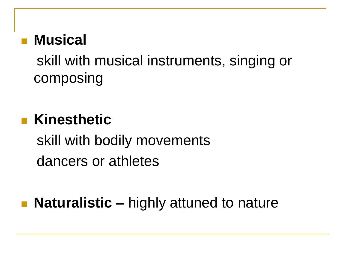### **Musical**

skill with musical instruments, singing or composing

### **Kinesthetic**

 skill with bodily movements dancers or athletes

**Naturalistic –** highly attuned to nature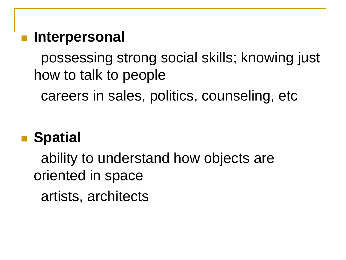### **Interpersonal**

 possessing strong social skills; knowing just how to talk to people

careers in sales, politics, counseling, etc

### ■ Spatial

ability to understand how objects are oriented in space artists, architects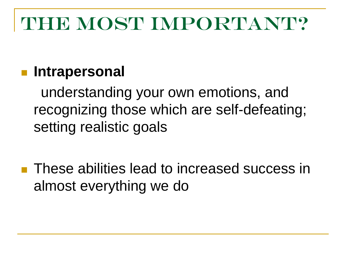### THE MOST IMPORTANT?

### **Intrapersonal**

 understanding your own emotions, and recognizing those which are self-defeating; setting realistic goals

**These abilities lead to increased success in** almost everything we do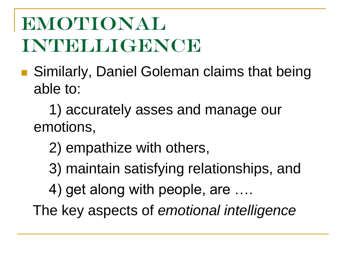## Emotional **INTELLIGENCE**

■ Similarly, Daniel Goleman claims that being able to:

 1) accurately asses and manage our emotions,

- 2) empathize with others,
- 3) maintain satisfying relationships, and
- 4) get along with people, are ….

The key aspects of *emotional intelligence*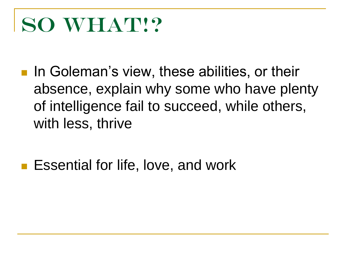# SO WHAT!?

- **In Goleman's view, these abilities, or their** absence, explain why some who have plenty of intelligence fail to succeed, while others, with less, thrive
- Essential for life, love, and work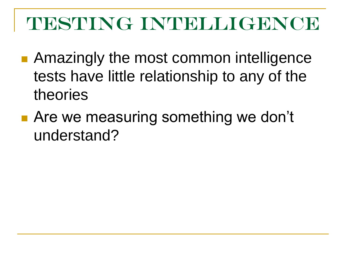### TESTING INTELLIGENCE

- **Amazingly the most common intelligence** tests have little relationship to any of the theories
- **Are we measuring something we don't** understand?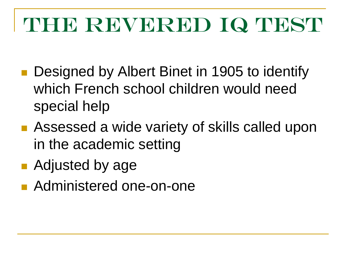# UHE REVERED IQ TEST

- Designed by Albert Binet in 1905 to identify which French school children would need special help
- Assessed a wide variety of skills called upon in the academic setting
- Adjusted by age
- **Administered one-on-one**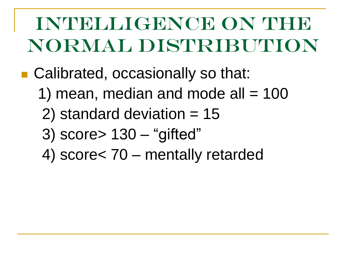# INTELLIGENCE ON THE normal distribution

- Calibrated, occasionally so that:
	- 1) mean, median and mode all  $= 100$
	- 2) standard deviation  $= 15$
	- 3) score> 130 "gifted"
	- 4) score< 70 mentally retarded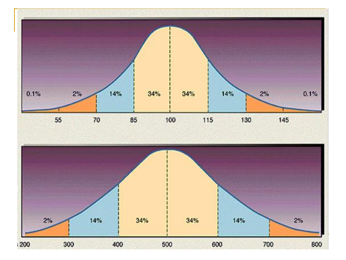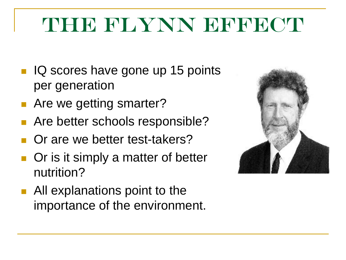# The IN PLYNN ENDERGAL

- IQ scores have gone up 15 points per generation
- Are we getting smarter?
- Are better schools responsible?
- Or are we better test-takers?
- Or is it simply a matter of better nutrition?
- **All explanations point to the** importance of the environment.

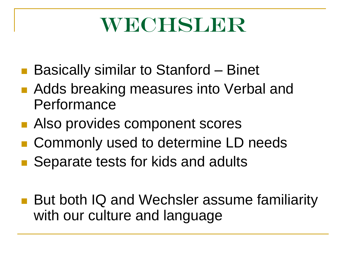# WECHSLER

- Basically similar to Stanford Binet
- Adds breaking measures into Verbal and Performance
- Also provides component scores
- Commonly used to determine LD needs
- Separate tests for kids and adults
- But both IQ and Wechsler assume familiarity with our culture and language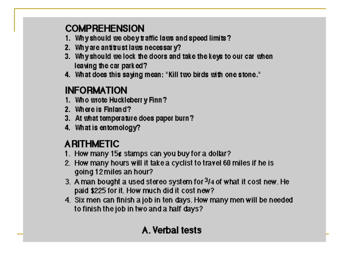#### **COMPREHENSION**

- 1. Why should we obey traffic laws and speed limits?
- 2. Why are antitrust laws necessary?
- 3. Why should we lock the doors and take the keys to our car when leaving the car parked?
- 4. What does this saying mean: "Kill two birds with one stone."

#### **INFORMATION**

- 1. Who wrote Huckleberry Finn?
- 2. Where is Finland?
- 3. At what temperature does paper burn?
- 4. What is entomology?

#### **ARITHMETIC**

- 1. How many 15¢ stamps can you buy for a dollar?
- 2. How many hours will it take a cyclist to travel 60 miles if he is qoing 12 miles an hour?
- 3. A man bought a used stereo system for  $3/4$  of what it cost new. He paid \$225 for it. How much did it cost new?
- 4. Six men can finish a job in ten days. How many men will be needed to finish the job in two and a half days?

#### A. Verbal tests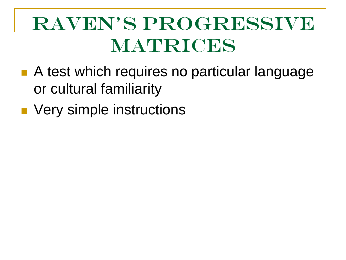### RAVEN'S PROGRESSIVE MATRICES

- A test which requires no particular language or cultural familiarity
- **Very simple instructions**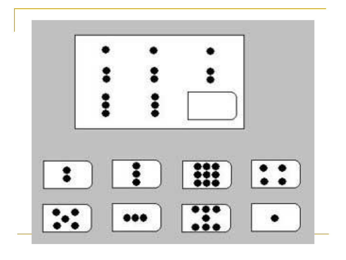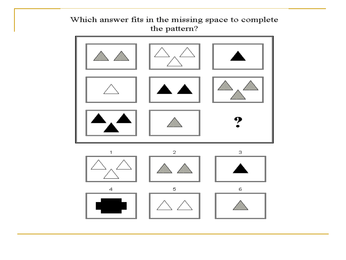#### Which answer fits in the missing space to complete the pattern?



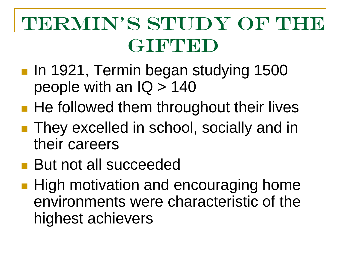## TERMIN'S STUDY OF THE GIFTED

- **In 1921, Termin began studying 1500** people with an  $IQ > 140$
- **He followed them throughout their lives**
- **They excelled in school, socially and in** their careers
- **But not all succeeded**
- **High motivation and encouraging home** environments were characteristic of the highest achievers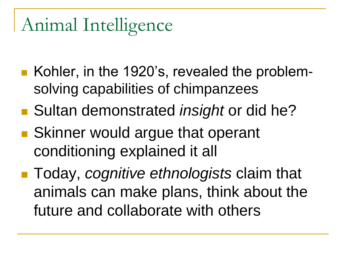## Animal Intelligence

- Kohler, in the 1920's, revealed the problemsolving capabilities of chimpanzees
- Sultan demonstrated *insight* or did he?
- Skinner would argue that operant conditioning explained it all
- Today, *cognitive ethnologists* claim that animals can make plans, think about the future and collaborate with others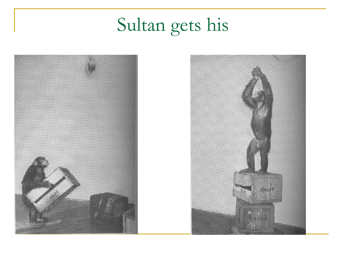# Sultan gets his



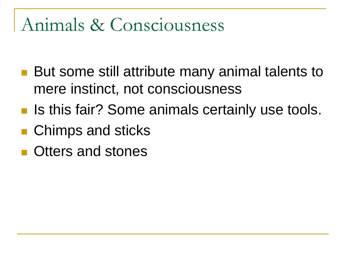### Animals & Consciousness

- But some still attribute many animal talents to mere instinct, not consciousness
- Is this fair? Some animals certainly use tools.
- Chimps and sticks
- **C** Otters and stones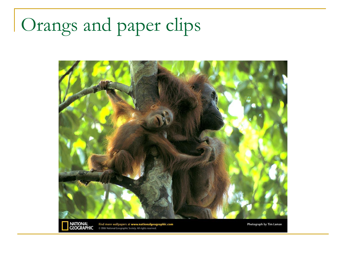## Orangs and paper clips



Find more wallpapers at www.nationalgeographic.com<br>© 2006 National Geographic Society. All rights reserved.

Photograph by Tim Laman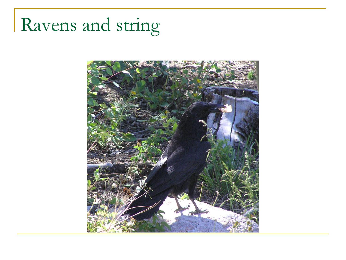# Ravens and string

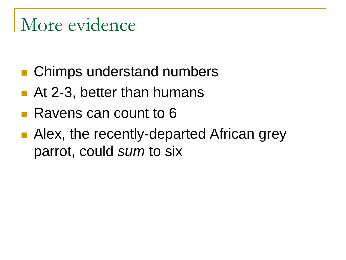### More evidence

- Chimps understand numbers
- At 2-3, better than humans
- Ravens can count to 6
- Alex, the recently-departed African grey parrot, could *sum* to six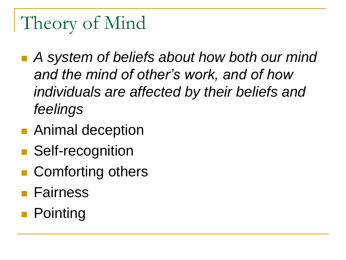### Theory of Mind

- *A system of beliefs about how both our mind and the mind of other's work, and of how individuals are affected by their beliefs and feelings*
- Animal deception
- **Self-recognition**
- Comforting others
- **Fairness**
- Pointing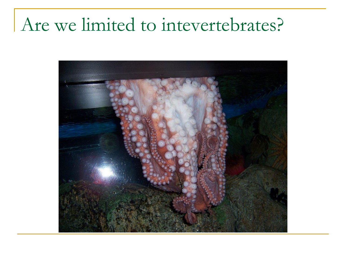### Are we limited to intevertebrates?

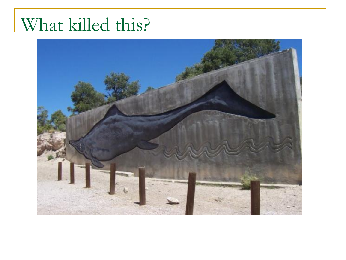### What killed this?